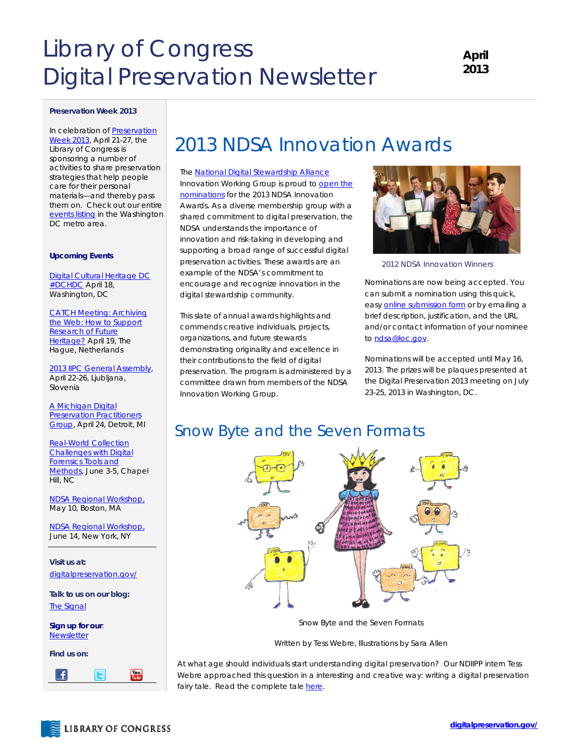# Library of Congress Digital Preservation Newsletter

### **Preservation Week 2013**

In celebration of [Preservation](http://www.ala.org/alcts/confevents/preswk)  [Week 2013](http://www.ala.org/alcts/confevents/preswk), April 21-27, the Library of Congress is sponsoring a number of activities to share preservation strategies that help people care for their personal materials—and thereby pass them on. Check out our entire [events listing](http://www.digitalpreservation.gov/meetings/presweek2013.html) in the Washington DC metro area.

### **Upcoming Events**

[Digital Cultural Heritage DC](http://www.meetup.com/Digital-Cultural-Heritage-DC/events/110416102/)  #DCHDC April 18, Washington, DC

[CATCH Meeting: Archiving](http://www.webarchiving.nl/news/catchmeeting) the Web: How to Support Research of Future Heritage? April 19, The Hague, Netherlands

[2013 IIPC General Assembly,](http://netpreserve.org/)  April 22-26, Ljubljana, Slovenia

A Michigan Digital **Preservation Practitioners** Group, April 24, Detroit, MI

[Real-World Collection](http://www.openplanetsfoundation.org/events/opf-hackathon-practical-approach-digital-forensics-0)  [Challenges with Digital](http://www.openplanetsfoundation.org/events/opf-hackathon-practical-approach-digital-forensics-0)  [Forensics Tools and](http://www.openplanetsfoundation.org/events/opf-hackathon-practical-approach-digital-forensics-0)  [Methods](http://www.openplanetsfoundation.org/events/opf-hackathon-practical-approach-digital-forensics-0), June 3-5, Chapel Hill, NC

[NDSA Regional Workshop,](http://projects.iq.harvard.edu/ne_ndsa)  May 10, Boston, MA

NDSA Regional Workshop, June 14, New York, NY

**Visit us at:**  [digitalpreservation.gov/](http://www.digitalpreservation.gov/)

**Talk to us on our blog:**  [The Signal](http://blogs.loc.gov/digitalpreservation/)

**Sign up for our**: [Newsletter](https://public.govdelivery.com/accounts/USLOC/subscriber/new?)

**Find us on:**



## 2013 NDSA Innovation Awards

The [National Digital Stewardship Alliance](http://www.digitalpreservation.gov/ndsa/) Innovation Working Group is proud to open the [nominations](http://www.digitalpreservation.gov/ndsa/awards.html) for the 2013 NDSA Innovation Awards. As a diverse membership group with a shared commitment to digital preservation, the NDSA understands the importance of innovation and risk-taking in developing and supporting a broad range of successful digital preservation activities. These awards are an example of the NDSA's commitment to encourage and recognize innovation in the digital stewardship community.

This slate of annual awards highlights and commends creative individuals, projects, organizations, and future stewards demonstrating originality and excellence in their contributions to the field of digital preservation. The program is administered by a committee drawn from members of the NDSA Innovation Working Group.



*2012 NDSA Innovation Winners* 

Nominations are now being accepted. You can submit a nomination using this quick, easy [online submission form](http://www.digitalpreservation.gov/ndsa/awards.html) or by emailing a brief description, justification, and the URL and/or contact information of your nominee to [ndsa@loc.gov.](mailto:ndsa@loc.gov)

Nominations will be accepted until May 16, 2013. The prizes will be plaques presented at the Digital Preservation 2013 meeting on July 23-25, 2013 in Washington, DC.

### Snow Byte and the Seven Formats



Snow Byte and the Seven Formats

Written by Tess Webre, Illustrations by Sara Allen

At what age should individuals start understanding digital preservation? Our NDIIPP intern Tess Webre approached this question in a interesting and creative way: writing a digital preservation fairy tale. Read the complete tale here.